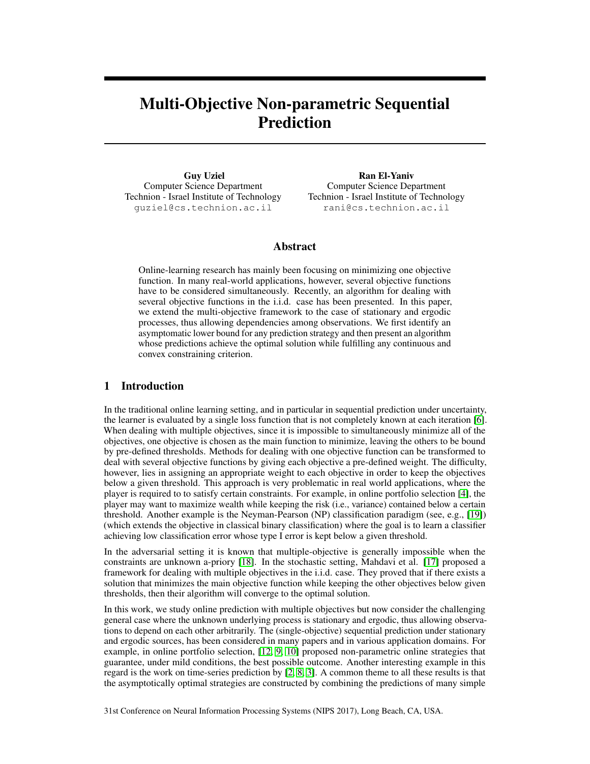# Multi-Objective Non-parametric Sequential Prediction

Guy Uziel Computer Science Department Technion - Israel Institute of Technology guziel@cs.technion.ac.il

Ran El-Yaniv Computer Science Department Technion - Israel Institute of Technology rani@cs.technion.ac.il

#### Abstract

Online-learning research has mainly been focusing on minimizing one objective function. In many real-world applications, however, several objective functions have to be considered simultaneously. Recently, an algorithm for dealing with several objective functions in the i.i.d. case has been presented. In this paper, we extend the multi-objective framework to the case of stationary and ergodic processes, thus allowing dependencies among observations. We first identify an asymptomatic lower bound for any prediction strategy and then present an algorithm whose predictions achieve the optimal solution while fulfilling any continuous and convex constraining criterion.

# 1 Introduction

In the traditional online learning setting, and in particular in sequential prediction under uncertainty, the learner is evaluated by a single loss function that is not completely known at each iteration [6]. When dealing with multiple objectives, since it is impossible to simultaneously minimize all of the objectives, one objective is chosen as the main function to minimize, leaving the others to be bound by pre-defined thresholds. Methods for dealing with one objective function can be transformed to deal with several objective functions by giving each objective a pre-defined weight. The difficulty, however, lies in assigning an appropriate weight to each objective in order to keep the objectives below a given threshold. This approach is very problematic in real world applications, where the player is required to to satisfy certain constraints. For example, in online portfolio selection [4], the player may want to maximize wealth while keeping the risk (i.e., variance) contained below a certain threshold. Another example is the Neyman-Pearson (NP) classification paradigm (see, e.g., [19]) (which extends the objective in classical binary classification) where the goal is to learn a classifier achieving low classification error whose type I error is kept below a given threshold.

In the adversarial setting it is known that multiple-objective is generally impossible when the constraints are unknown a-priory [18]. In the stochastic setting, Mahdavi et al. [17] proposed a framework for dealing with multiple objectives in the i.i.d. case. They proved that if there exists a solution that minimizes the main objective function while keeping the other objectives below given thresholds, then their algorithm will converge to the optimal solution.

In this work, we study online prediction with multiple objectives but now consider the challenging general case where the unknown underlying process is stationary and ergodic, thus allowing observations to depend on each other arbitrarily. The (single-objective) sequential prediction under stationary and ergodic sources, has been considered in many papers and in various application domains. For example, in online portfolio selection, [12, 9, 10] proposed non-parametric online strategies that guarantee, under mild conditions, the best possible outcome. Another interesting example in this regard is the work on time-series prediction by [2, 8, 3]. A common theme to all these results is that the asymptotically optimal strategies are constructed by combining the predictions of many simple

31st Conference on Neural Information Processing Systems (NIPS 2017), Long Beach, CA, USA.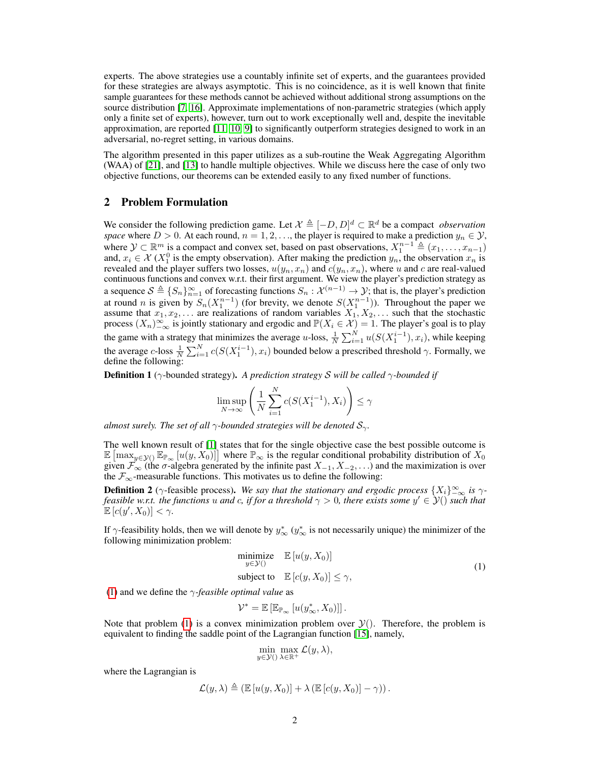experts. The above strategies use a countably infinite set of experts, and the guarantees provided for these strategies are always asymptotic. This is no coincidence, as it is well known that finite sample guarantees for these methods cannot be achieved without additional strong assumptions on the source distribution [7, 16]. Approximate implementations of non-parametric strategies (which apply only a finite set of experts), however, turn out to work exceptionally well and, despite the inevitable approximation, are reported [11, 10, 9] to significantly outperform strategies designed to work in an adversarial, no-regret setting, in various domains.

The algorithm presented in this paper utilizes as a sub-routine the Weak Aggregating Algorithm (WAA) of [21], and [13] to handle multiple objectives. While we discuss here the case of only two objective functions, our theorems can be extended easily to any fixed number of functions.

## 2 Problem Formulation

We consider the following prediction game. Let  $\mathcal{X} \triangleq [-D, D]^d \subset \mathbb{R}^d$  be a compact *observation space* where  $D > 0$ . At each round,  $n = 1, 2, \ldots$ , the player is required to make a prediction  $y_n \in \mathcal{Y}$ , where  $\mathcal{Y} \subset \mathbb{R}^m$  is a compact and convex set, based on past observations,  $X_1^{n-1} \triangleq (x_1, \ldots, x_{n-1})$ and,  $x_i \in \mathcal{X}(X_1^0)$  is the empty observation). After making the prediction  $y_n$ , the observation  $x_n$  is revealed and the player suffers two losses,  $u(y_n, x_n)$  and  $c(y_n, x_n)$ , where u and c are real-valued continuous functions and convex w.r.t. their first argument. We view the player's prediction strategy as a sequence  $S \triangleq \{S_n\}_{n=1}^{\infty}$  of forecasting functions  $S_n : \mathcal{X}^{(n-1)} \to \mathcal{Y}$ ; that is, the player's prediction at round *n* is given by  $S_n(X_1^{n-1})$  (for brevity, we denote  $S(X_1^{n-1})$ ). Throughout the paper we assume that  $x_1, x_2, \ldots$  are realizations of random variables  $X_1, X_2, \ldots$  such that the stochastic process  $(X_n)_{-\infty}^{\infty}$  is jointly stationary and ergodic and  $\mathbb{P}(X_i \in \mathcal{X}) = 1$ . The player's goal is to play the game with a strategy that minimizes the average u-loss,  $\frac{1}{N} \sum_{i=1}^{N} u(S(X_1^{i-1}), x_i)$ , while keeping the average c-loss  $\frac{1}{N} \sum_{i=1}^{N} c(S(X_1^{i-1}), x_i)$  bounded below a prescribed threshold  $\gamma$ . Formally, we define the following:

Definition 1 (γ-bounded strategy). *A prediction strategy* S *will be called* γ*-bounded if*

$$
\limsup_{N \to \infty} \left( \frac{1}{N} \sum_{i=1}^{N} c(S(X_1^{i-1}), X_i) \right) \le \gamma
$$

*almost surely. The set of all*  $\gamma$ *-bounded strategies will be denoted*  $S_{\gamma}$ *.* 

The well known result of [1] states that for the single objective case the best possible outcome is  $\mathbb{E} \left[\max_{y \in \mathcal{Y}} (\mathbb{E}_{\mathbb{P}_{\infty}} [u(y, X_0)] \right]$  where  $\mathbb{P}_{\infty}$  is the regular conditional probability distribution of  $X_0$ given  $\mathcal{F}_{\infty}$  (the  $\sigma$ -algebra generated by the infinite past  $X_{-1}, X_{-2}, \ldots$ ) and the maximization is over the  $\mathcal{F}_{\infty}$ -measurable functions. This motivates us to define the following:

**Definition 2** ( $\gamma$ -feasible process). We say that the stationary and ergodic process  $\{X_i\}_{-\infty}^{\infty}$  is  $\gamma$ *feasible w.r.t. the functions u and c, if for a threshold*  $\gamma > 0$ , *there exists some*  $y' \in \mathcal{Y}()$  *such that*  $\mathbb{E}\left[c(y', X_0)\right] < \gamma$ .

If  $\gamma$ -feasibility holds, then we will denote by  $y^*_{\infty}$  ( $y^*_{\infty}$  is not necessarily unique) the minimizer of the following minimization problem:

$$
\begin{array}{ll}\text{minimize} & \mathbb{E}\left[u(y, X_0)\right] \\ \text{subject to} & \mathbb{E}\left[c(y, X_0)\right] \le \gamma, \end{array} \tag{1}
$$

(1) and we define the γ*-feasible optimal value* as

$$
\mathcal{V}^* = \mathbb{E}\left[\mathbb{E}_{\mathbb{P}_{\infty}}\left[u(y_{\infty}^*, X_0)\right]\right].
$$

Note that problem (1) is a convex minimization problem over  $\mathcal{Y}()$ . Therefore, the problem is equivalent to finding the saddle point of the Lagrangian function [15], namely,

$$
\min_{y \in \mathcal{Y}(\lambda)} \max_{\lambda \in \mathbb{R}^+} \mathcal{L}(y, \lambda),
$$

where the Lagrangian is

$$
\mathcal{L}(y,\lambda) \triangleq (\mathbb{E}\left[u(y,X_0)\right] + \lambda \left(\mathbb{E}\left[c(y,X_0)\right] - \gamma\right)).
$$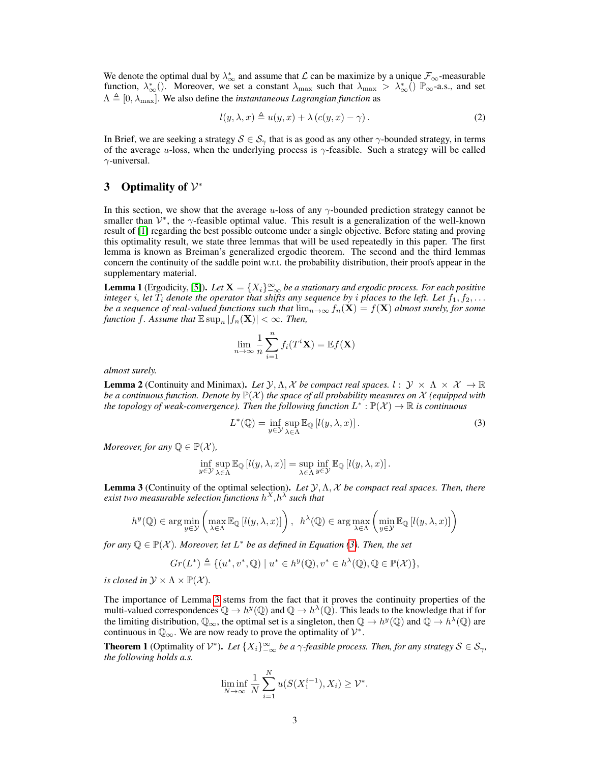We denote the optimal dual by  $\lambda_{\infty}^*$  and assume that  $\mathcal L$  can be maximize by a unique  $\mathcal F_{\infty}$ -measurable function,  $\lambda_{\infty}^{*}$  (). Moreover, we set a constant  $\lambda_{\max}$  such that  $\lambda_{\max} > \lambda_{\infty}^{*}$  ()  $\mathbb{P}_{\infty}$ -a.s., and set  $\Lambda \triangleq [0, \lambda_{\text{max}}]$ . We also define the *instantaneous Lagrangian function* as

$$
l(y, \lambda, x) \triangleq u(y, x) + \lambda (c(y, x) - \gamma).
$$
 (2)

In Brief, we are seeking a strategy  $S \in S_{\gamma}$  that is as good as any other  $\gamma$ -bounded strategy, in terms of the average u-loss, when the underlying process is  $\gamma$ -feasible. Such a strategy will be called  $\gamma$ -universal.

# 3 Optimality of  $\mathcal{V}^*$

In this section, we show that the average u-loss of any  $\gamma$ -bounded prediction strategy cannot be smaller than  $V^*$ , the  $\gamma$ -feasible optimal value. This result is a generalization of the well-known result of [1] regarding the best possible outcome under a single objective. Before stating and proving this optimality result, we state three lemmas that will be used repeatedly in this paper. The first lemma is known as Breiman's generalized ergodic theorem. The second and the third lemmas concern the continuity of the saddle point w.r.t. the probability distribution, their proofs appear in the supplementary material.

**Lemma 1** (Ergodicity, [5]). Let  $X = \{X_i\}_{-\infty}^{\infty}$  be a stationary and ergodic process. For each positive *integer i*, let  $T_i$  *denote the operator that shifts any sequence by i places to the left. Let*  $f_1, f_2, \ldots$ *be a sequence of real-valued functions such that*  $\lim_{n\to\infty} f_n(\mathbf{X}) = f(\mathbf{X})$  *almost surely, for some function* f. Assume that  $\mathbb{E} \sup_n |f_n(\mathbf{X})| < \infty$ . Then,

$$
\lim_{n \to \infty} \frac{1}{n} \sum_{i=1}^{n} f_i(T^i \mathbf{X}) = \mathbb{E} f(\mathbf{X})
$$

*almost surely.*

**Lemma 2** (Continuity and Minimax). Let  $\mathcal{Y}, \Lambda, \mathcal{X}$  be compact real spaces.  $l : \mathcal{Y} \times \Lambda \times \mathcal{X} \to \mathbb{R}$ *be a continuous function. Denote by*  $\mathbb{P}(\mathcal{X})$  *the space of all probability measures on* X *(equipped with* the topology of weak-convergence). Then the following function  $L^*$  :  $\mathbb{P}(\mathcal{X}) \to \mathbb{R}$  is continuous

$$
L^*(\mathbb{Q}) = \inf_{y \in \mathcal{Y}} \sup_{\lambda \in \Lambda} \mathbb{E}_{\mathbb{Q}} \left[ l(y, \lambda, x) \right]. \tag{3}
$$

*Moreover, for any*  $\mathbb{Q} \in \mathbb{P}(\mathcal{X})$ *,* 

$$
\inf_{y\in\mathcal{Y}}\sup_{\lambda\in\Lambda}\mathbb{E}_{\mathbb{Q}}\left[l(y,\lambda,x)\right]=\sup_{\lambda\in\Lambda}\inf_{y\in\mathcal{Y}}\mathbb{E}_{\mathbb{Q}}\left[l(y,\lambda,x)\right].
$$

Lemma 3 (Continuity of the optimal selection). *Let* Y,Λ, X *be compact real spaces. Then, there exist two measurable selection functions* h <sup>X</sup>*,*h λ *such that*

$$
h^{y}(\mathbb{Q}) \in \arg\min_{y \in \mathcal{Y}} \left( \max_{\lambda \in \Lambda} \mathbb{E}_{\mathbb{Q}} \left[ l(y, \lambda, x) \right] \right), \ \ h^{\lambda}(\mathbb{Q}) \in \arg\max_{\lambda \in \Lambda} \left( \min_{y \in \mathcal{Y}} \mathbb{E}_{\mathbb{Q}} \left[ l(y, \lambda, x) \right] \right)
$$

*for any*  $\mathbb{Q} \in \mathbb{P}(\mathcal{X})$ *. Moreover, let*  $L^*$  *be as defined in Equation* (3)*. Then, the set* 

$$
Gr(L^*) \triangleq \{ (u^*, v^*, \mathbb{Q}) \mid u^* \in h^y(\mathbb{Q}), v^* \in h^{\lambda}(\mathbb{Q}), \mathbb{Q} \in \mathbb{P}(\mathcal{X}) \},
$$

*is closed in*  $\mathcal{Y} \times \Lambda \times \mathbb{P}(\mathcal{X})$ *.* 

The importance of Lemma 3 stems from the fact that it proves the continuity properties of the multi-valued correspondences  $\mathbb{Q} \to h^y(\mathbb{Q})$  and  $\mathbb{Q} \to h^{\lambda}(\mathbb{Q})$ . This leads to the knowledge that if for the limiting distribution,  $\mathbb{Q}_{\infty}$ , the optimal set is a singleton, then  $\mathbb{Q} \to h^y(\mathbb{Q})$  and  $\mathbb{Q} \to h^{\lambda}(\mathbb{Q})$  are continuous in  $\mathbb{Q}_{\infty}$ . We are now ready to prove the optimality of  $\mathcal{V}^*$ .

**Theorem 1** (Optimality of  $V^*$ ). Let  $\{X_i\}_{-\infty}^{\infty}$  be a  $\gamma$ -feasible process. Then, for any strategy  $S \in \mathcal{S}_{\gamma}$ , *the following holds a.s.*

$$
\liminf_{N \to \infty} \frac{1}{N} \sum_{i=1}^{N} u(S(X_1^{i-1}), X_i) \ge \mathcal{V}^*.
$$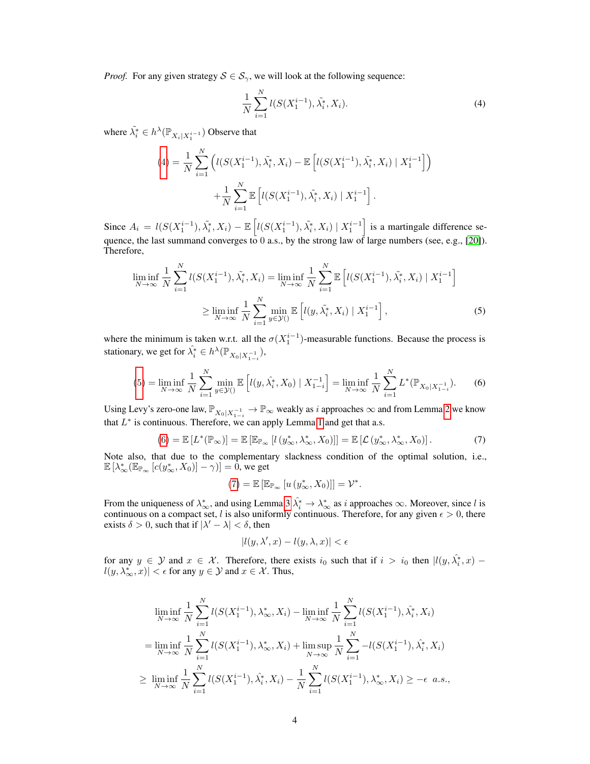*Proof.* For any given strategy  $S \in S_{\gamma}$ , we will look at the following sequence:

$$
\frac{1}{N} \sum_{i=1}^{N} l(S(X_1^{i-1}), \tilde{\lambda}_i^*, X_i).
$$
\n(4)

where  $\tilde{\lambda}_i^* \in h^{\lambda}(\mathbb{P}_{X_i | X_1^{i-1}})$  Observe that

$$
(4) = \frac{1}{N} \sum_{i=1}^{N} \left( l(S(X_1^{i-1}), \tilde{\lambda}_i^*, X_i) - \mathbb{E}\left[ l(S(X_1^{i-1}), \tilde{\lambda}_i^*, X_i) \mid X_1^{i-1} \right] \right) + \frac{1}{N} \sum_{i=1}^{N} \mathbb{E}\left[ l(S(X_1^{i-1}), \tilde{\lambda}_i^*, X_i) \mid X_1^{i-1} \right].
$$

Since  $A_i = l(S(X_1^{i-1}), \tilde{\lambda}_i^*, X_i) - \mathbb{E}\left[l(S(X_1^{i-1}), \tilde{\lambda}_i^*, X_i) \mid X_1^{i-1}\right]$  is a martingale difference sequence, the last summand converges to  $0$  a.s., by the strong law of large numbers (see, e.g., [20]). Therefore,

$$
\liminf_{N \to \infty} \frac{1}{N} \sum_{i=1}^{N} l(S(X_1^{i-1}), \tilde{\lambda}_i^*, X_i) = \liminf_{N \to \infty} \frac{1}{N} \sum_{i=1}^{N} \mathbb{E} \left[ l(S(X_1^{i-1}), \tilde{\lambda}_i^*, X_i) \mid X_1^{i-1} \right]
$$
  
\n
$$
\geq \liminf_{N \to \infty} \frac{1}{N} \sum_{i=1}^{N} \min_{y \in \mathcal{Y}(i)} \mathbb{E} \left[ l(y, \tilde{\lambda}_i^*, X_i) \mid X_1^{i-1} \right],
$$
 (5)

where the minimum is taken w.r.t. all the  $\sigma(X_1^{i-1})$ -measurable functions. Because the process is stationary, we get for  $\hat{\lambda}_i^* \in h^{\lambda}(\mathbb{P}_{X_0|X_{1-i}^{-1}})$ ,

$$
(5) = \liminf_{N \to \infty} \frac{1}{N} \sum_{i=1}^{N} \min_{y \in \mathcal{Y}(i)} \mathbb{E}\left[l(y, \hat{\lambda}_i^*, X_0) \mid X_{1-i}^{-1}\right] = \liminf_{N \to \infty} \frac{1}{N} \sum_{i=1}^{N} L^*(\mathbb{P}_{X_0 | X_{1-i}^{-1}}). \tag{6}
$$

Using Levy's zero-one law,  $\mathbb{P}_{X_0|X_{1-i}^{-1}} \to \mathbb{P}_{\infty}$  weakly as i approaches  $\infty$  and from Lemma 2 we know that  $L^*$  is continuous. Therefore, we can apply Lemma 1 and get that a.s.

$$
(6) = \mathbb{E}\left[L^*(\mathbb{P}_{\infty})\right] = \mathbb{E}\left[\mathbb{E}_{\mathbb{P}_{\infty}}\left[l\left(y_{\infty}^*, \lambda_{\infty}^*, X_0\right)\right]\right] = \mathbb{E}\left[\mathcal{L}\left(y_{\infty}^*, \lambda_{\infty}^*, X_0\right)\right].\tag{7}
$$

.

Note also, that due to the complementary slackness condition of the optimal solution, i.e.,  $\mathbb{E}\left[\lambda^*_\infty(\mathbb{E}_{\mathbb{P}_\infty}\left[c(y^*_\infty,X_0)\right]-\gamma)\right]=0$ , we get

$$
(7) = \mathbb{E}\left[\mathbb{E}_{\mathbb{P}_{\infty}}\left[u\left(y_{\infty}^*, X_0\right)\right]\right] = \mathcal{V}^*
$$

From the uniqueness of  $\lambda_{\infty}^*$ , and using Lemma 3  $\lambda_i^* \to \lambda_{\infty}^*$  as i approaches  $\infty$ . Moreover, since l is continuous on a compact set, l is also uniformly continuous. Therefore, for any given  $\epsilon > 0$ , there exists  $\delta > 0$ , such that if  $|\lambda' - \lambda| < \delta$ , then

$$
|l(y, \lambda', x) - l(y, \lambda, x)| < \epsilon
$$

for any  $y \in Y$  and  $x \in X$ . Therefore, there exists  $i_0$  such that if  $i > i_0$  then  $|l(y, \hat{\lambda_i^*}, x)| |l(y, \lambda_{\infty}^*, x)| < \epsilon$  for any  $y \in \mathcal{Y}$  and  $x \in \mathcal{X}$ . Thus,

$$
\liminf_{N \to \infty} \frac{1}{N} \sum_{i=1}^{N} l(S(X_1^{i-1}), \lambda^*_{\infty}, X_i) - \liminf_{N \to \infty} \frac{1}{N} \sum_{i=1}^{N} l(S(X_1^{i-1}), \hat{\lambda}^*_{i}, X_i)
$$
\n
$$
= \liminf_{N \to \infty} \frac{1}{N} \sum_{i=1}^{N} l(S(X_1^{i-1}), \lambda^*_{\infty}, X_i) + \limsup_{N \to \infty} \frac{1}{N} \sum_{i=1}^{N} -l(S(X_1^{i-1}), \hat{\lambda}^*_{i}, X_i)
$$
\n
$$
\geq \liminf_{N \to \infty} \frac{1}{N} \sum_{i=1}^{N} l(S(X_1^{i-1}), \hat{\lambda}^*_{i}, X_i) - \frac{1}{N} \sum_{i=1}^{N} l(S(X_1^{i-1}), \lambda^*_{\infty}, X_i) \geq -\epsilon \quad a.s.,
$$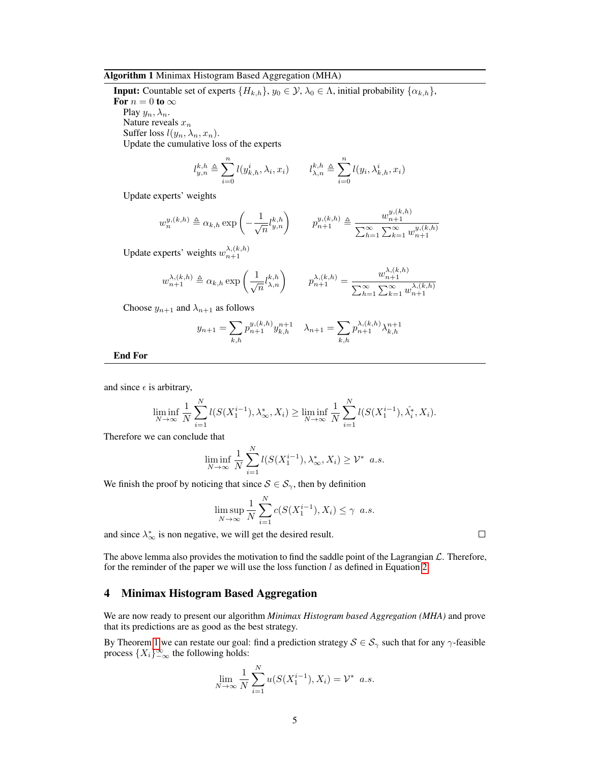#### Algorithm 1 Minimax Histogram Based Aggregation (MHA)

**Input:** Countable set of experts  $\{H_{k,h}\}, y_0 \in \mathcal{Y}, \lambda_0 \in \Lambda$ , initial probability  $\{\alpha_{k,h}\},$ 

For  $n = 0$  to  $\infty$ 

Play  $y_n, \lambda_n$ . Nature reveals  $x_n$ 

Suffer loss  $l(y_n, \lambda_n, x_n)$ .

Update the cumulative loss of the experts

$$
l_{y,n}^{k,h} \triangleq \sum_{i=0}^n l(y_{k,h}^i, \lambda_i, x_i) \qquad l_{\lambda,n}^{k,h} \triangleq \sum_{i=0}^n l(y_i, \lambda_{k,h}^i, x_i)
$$

Update experts' weights

$$
w_n^{y,(k,h)} \triangleq \alpha_{k,h} \exp\left(-\frac{1}{\sqrt{n}} l_{y,n}^{k,h}\right) \qquad p_{n+1}^{y,(k,h)} \triangleq \frac{w_{n+1}^{y,(k,h)}}{\sum_{h=1}^{\infty} \sum_{k=1}^{\infty} w_{n+1}^{y,(k,h)}}
$$

Update experts' weights  $w_{n+1}^{\lambda,(k,h)}$ 

$$
w_{n+1}^{\lambda,(k,h)} \triangleq \alpha_{k,h} \exp\left(\frac{1}{\sqrt{n}} l_{\lambda,n}^{k,h}\right) \qquad p_{n+1}^{\lambda,(k,h)} = \frac{w_{n+1}^{\lambda,(k,h)}}{\sum_{h=1}^{\infty} \sum_{k=1}^{\infty} w_{n+1}^{\lambda,(k,h)}}
$$

Choose  $y_{n+1}$  and  $\lambda_{n+1}$  as follows

$$
y_{n+1} = \sum_{k,h} p_{n+1}^{y,(k,h)} y_{k,h}^{n+1} \quad \lambda_{n+1} = \sum_{k,h} p_{n+1}^{\lambda,(k,h)} \lambda_{k,h}^{n+1}
$$

End For

and since  $\epsilon$  is arbitrary,

$$
\liminf_{N \to \infty} \frac{1}{N} \sum_{i=1}^N l(S(X_1^{i-1}), \lambda^*_{\infty}, X_i) \ge \liminf_{N \to \infty} \frac{1}{N} \sum_{i=1}^N l(S(X_1^{i-1}), \hat{\lambda}^*_i, X_i).
$$

Therefore we can conclude that

$$
\liminf_{N \to \infty} \frac{1}{N} \sum_{i=1}^{N} l(S(X_1^{i-1}), \lambda_{\infty}^*, X_i) \geq \mathcal{V}^* \quad a.s.
$$

We finish the proof by noticing that since  $S \in S_{\gamma}$ , then by definition

$$
\limsup_{N \to \infty} \frac{1}{N} \sum_{i=1}^{N} c(S(X_1^{i-1}), X_i) \le \gamma \ a.s.
$$

and since  $\lambda_{\infty}^{*}$  is non negative, we will get the desired result.

The above lemma also provides the motivation to find the saddle point of the Lagrangian  $\mathcal{L}$ . Therefore, for the reminder of the paper we will use the loss function  $l$  as defined in Equation 2.

# 4 Minimax Histogram Based Aggregation

We are now ready to present our algorithm *Minimax Histogram based Aggregation (MHA)* and prove that its predictions are as good as the best strategy.

By Theorem 1 we can restate our goal: find a prediction strategy  $S \in S_\gamma$  such that for any  $\gamma$ -feasible process  $\{X_i\}_{-\infty}^{\infty}$  the following holds:

$$
\lim_{N \to \infty} \frac{1}{N} \sum_{i=1}^{N} u(S(X_1^{i-1}), X_i) = \mathcal{V}^* \ a.s.
$$

 $\Box$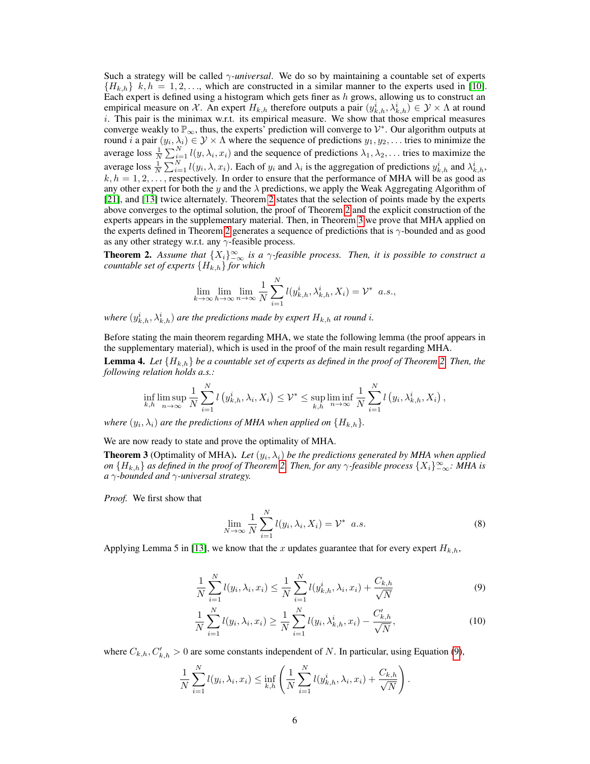Such a strategy will be called γ*-universal*. We do so by maintaining a countable set of experts  ${H_{k,h}}$  k,  $h = 1, 2, \ldots$ , which are constructed in a similar manner to the experts used in [10]. Each expert is defined using a histogram which gets finer as  $h$  grows, allowing us to construct an empirical measure on X. An expert  $H_{k,h}$  therefore outputs a pair  $(y_{k,h}^i, \lambda_{k,h}^i) \in \mathcal{Y} \times \Lambda$  at round  $i$ . This pair is the minimax w.r.t. its empirical measure. We show that those emprical measures converge weakly to  $\mathbb{P}_{\infty}$ , thus, the experts<sup>†</sup> prediction will converge to  $\mathcal{V}^*$ . Our algorithm outputs at round *i* a pair  $(y_i, \lambda_i) \in \mathcal{Y} \times \Lambda$  where the sequence of predictions  $y_1, y_2, \ldots$  tries to minimize the average loss  $\frac{1}{N} \sum_{i=1}^{N} l(y, \lambda_i, x_i)$  and the sequence of predictions  $\lambda_1, \lambda_2, \ldots$  tries to maximize the average loss  $\frac{1}{N} \sum_{i=1}^{N} l(y_i, \lambda, x_i)$ . Each of  $y_i$  and  $\lambda_i$  is the aggregation of predictions  $y_{k,h}^i$  and  $\lambda_{k,h}^i$ ,  $k, h = 1, 2, \ldots$ , respectively. In order to ensure that the performance of MHA will be as good as any other expert for both the y and the  $\lambda$  predictions, we apply the Weak Aggregating Algorithm of [21], and [13] twice alternately. Theorem 2 states that the selection of points made by the experts above converges to the optimal solution, the proof of Theorem 2 and the explicit construction of the experts appears in the supplementary material. Then, in Theorem 3 we prove that MHA applied on the experts defined in Theorem 2 generates a sequence of predictions that is  $\gamma$ -bounded and as good as any other strategy w.r.t. any  $\gamma$ -feasible process.

**Theorem 2.** Assume that  $\{X_i\}_{-\infty}^{\infty}$  is a  $\gamma$ -feasible process. Then, it is possible to construct a *countable set of experts*  ${H_{k,h}}$  *for which* 

$$
\lim_{k \to \infty} \lim_{h \to \infty} \lim_{n \to \infty} \frac{1}{N} \sum_{i=1}^{N} l(y_{k,h}^i, \lambda_{k,h}^i, X_i) = \mathcal{V}^* \quad a.s.,
$$

where  $(y_{k,h}^i, \lambda_{k,h}^i)$  are the predictions made by expert  $H_{k,h}$  at round i.

Before stating the main theorem regarding MHA, we state the following lemma (the proof appears in the supplementary material), which is used in the proof of the main result regarding MHA.

**Lemma 4.** Let  $\{H_{k,h}\}$  be a countable set of experts as defined in the proof of Theorem 2. Then, the *following relation holds a.s.:*

$$
\inf_{k,h}\limsup_{n\to\infty}\frac{1}{N}\sum_{i=1}^N l\left(y_{k,h}^i,\lambda_i,X_i\right)\leq\mathcal{V}^*\leq\sup_{k,h}\liminf_{n\to\infty}\frac{1}{N}\sum_{i=1}^N l\left(y_i,\lambda_{k,h}^i,X_i\right),
$$

*where*  $(y_i, \lambda_i)$  are the predictions of MHA when applied on  $\{H_{k,h}\}$ .

We are now ready to state and prove the optimality of MHA.

**Theorem 3** (Optimality of MHA). Let  $(y_i, \lambda_i)$  be the predictions generated by MHA when applied *on*  $\{H_{k,h}\}$  *as defined in the proof of Theorem* 2. *Then, for any*  $\gamma$ *-feasible process*  $\{X_i\}_{-\infty}^\infty$ *: MHA is a* γ*-bounded and* γ*-universal strategy.*

*Proof.* We first show that

$$
\lim_{N \to \infty} \frac{1}{N} \sum_{i=1}^{N} l(y_i, \lambda_i, X_i) = \mathcal{V}^* \quad a.s.
$$
\n(8)

Applying Lemma 5 in [13], we know that the x updates guarantee that for every expert  $H_{k,h}$ ,

$$
\frac{1}{N} \sum_{i=1}^{N} l(y_i, \lambda_i, x_i) \leq \frac{1}{N} \sum_{i=1}^{N} l(y_{k,h}^i, \lambda_i, x_i) + \frac{C_{k,h}}{\sqrt{N}}
$$
(9)

$$
\frac{1}{N} \sum_{i=1}^{N} l(y_i, \lambda_i, x_i) \ge \frac{1}{N} \sum_{i=1}^{N} l(y_i, \lambda_{k,h}^i, x_i) - \frac{C'_{k,h}}{\sqrt{N}},
$$
\n(10)

.

where  $C_{k,h}, C'_{k,h} > 0$  are some constants independent of N. In particular, using Equation (9),

$$
\frac{1}{N} \sum_{i=1}^{N} l(y_i, \lambda_i, x_i) \le \inf_{k,h} \left( \frac{1}{N} \sum_{i=1}^{N} l(y_{k,h}^i, \lambda_i, x_i) + \frac{C_{k,h}}{\sqrt{N}} \right)
$$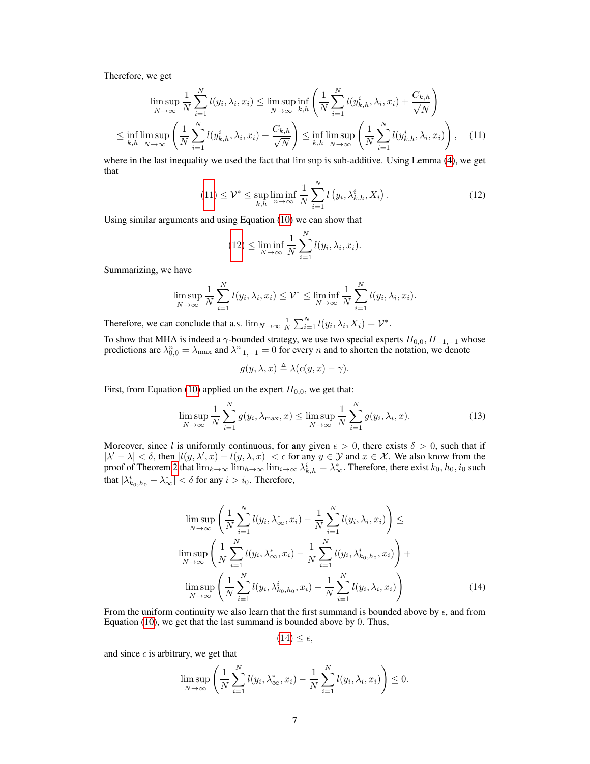Therefore, we get

$$
\limsup_{N \to \infty} \frac{1}{N} \sum_{i=1}^{N} l(y_i, \lambda_i, x_i) \le \limsup_{N \to \infty} \inf_{k, h} \left( \frac{1}{N} \sum_{i=1}^{N} l(y_{k,h}^i, \lambda_i, x_i) + \frac{C_{k,h}}{\sqrt{N}} \right)
$$
  

$$
\le \inf_{k, h} \limsup_{N \to \infty} \left( \frac{1}{N} \sum_{i=1}^{N} l(y_{k,h}^i, \lambda_i, x_i) + \frac{C_{k,h}}{\sqrt{N}} \right) \le \inf_{k, h} \limsup_{N \to \infty} \left( \frac{1}{N} \sum_{i=1}^{N} l(y_{k,h}^i, \lambda_i, x_i) \right), \quad (11)
$$

where in the last inequality we used the fact that lim sup is sub-additive. Using Lemma (4), we get that

$$
(11) \le \mathcal{V}^* \le \sup_{k,h} \liminf_{n \to \infty} \frac{1}{N} \sum_{i=1}^N l\left(y_i, \lambda^i_{k,h}, X_i\right). \tag{12}
$$

Using similar arguments and using Equation (10) we can show that

$$
(12) \le \liminf_{N \to \infty} \frac{1}{N} \sum_{i=1}^{N} l(y_i, \lambda_i, x_i).
$$

Summarizing, we have

$$
\limsup_{N \to \infty} \frac{1}{N} \sum_{i=1}^{N} l(y_i, \lambda_i, x_i) \leq \mathcal{V}^* \leq \liminf_{N \to \infty} \frac{1}{N} \sum_{i=1}^{N} l(y_i, \lambda_i, x_i).
$$

Therefore, we can conclude that a.s.  $\lim_{N \to \infty} \frac{1}{N} \sum_{i=1}^{N} l(y_i, \lambda_i, X_i) = \mathcal{V}^*$ .

To show that MHA is indeed a  $\gamma$ -bounded strategy, we use two special experts  $H_{0,0}$ ,  $H_{-1,-1}$  whose predictions are  $\lambda_{0,0}^n = \lambda_{\max}$  and  $\lambda_{-1,-1}^n = 0$  for every n and to shorten the notation, we denote

$$
g(y, \lambda, x) \triangleq \lambda(c(y, x) - \gamma).
$$

First, from Equation (10) applied on the expert  $H_{0,0}$ , we get that:

$$
\limsup_{N \to \infty} \frac{1}{N} \sum_{i=1}^{N} g(y_i, \lambda_{\max}, x) \le \limsup_{N \to \infty} \frac{1}{N} \sum_{i=1}^{N} g(y_i, \lambda_i, x).
$$
\n(13)

Moreover, since l is uniformly continuous, for any given  $\epsilon > 0$ , there exists  $\delta > 0$ , such that if  $|\lambda' - \lambda| < \delta$ , then  $|l(y, \lambda', x) - l(y, \lambda, x)| < \epsilon$  for any  $y \in \mathcal{Y}$  and  $x \in \mathcal{X}$ . We also know from the proof of Theorem 2 that  $\lim_{k\to\infty} \lim_{h\to\infty} \lim_{i\to\infty} \lambda_{k,h}^i = \lambda_{\infty}^*$ . Therefore, there exist  $k_0, h_0, i_0$  such that  $|\lambda_{k_0,h_0}^i - \lambda_{\infty}^*| < \delta$  for any  $i > i_0$ . Therefore,

$$
\limsup_{N \to \infty} \left( \frac{1}{N} \sum_{i=1}^{N} l(y_i, \lambda_{\infty}^*, x_i) - \frac{1}{N} \sum_{i=1}^{N} l(y_i, \lambda_i, x_i) \right) \le
$$
\n
$$
\limsup_{N \to \infty} \left( \frac{1}{N} \sum_{i=1}^{N} l(y_i, \lambda_{\infty}^*, x_i) - \frac{1}{N} \sum_{i=1}^{N} l(y_i, \lambda_{k_0, h_0}^i, x_i) \right) +
$$
\n
$$
\limsup_{N \to \infty} \left( \frac{1}{N} \sum_{i=1}^{N} l(y_i, \lambda_{k_0, h_0}^i, x_i) - \frac{1}{N} \sum_{i=1}^{N} l(y_i, \lambda_i, x_i) \right) \tag{14}
$$

From the uniform continuity we also learn that the first summand is bounded above by  $\epsilon$ , and from Equation (10), we get that the last summand is bounded above by 0. Thus,

$$
(14) \leq \epsilon,
$$

and since  $\epsilon$  is arbitrary, we get that

$$
\limsup_{N \to \infty} \left( \frac{1}{N} \sum_{i=1}^{N} l(y_i, \lambda_{\infty}^*, x_i) - \frac{1}{N} \sum_{i=1}^{N} l(y_i, \lambda_i, x_i) \right) \leq 0.
$$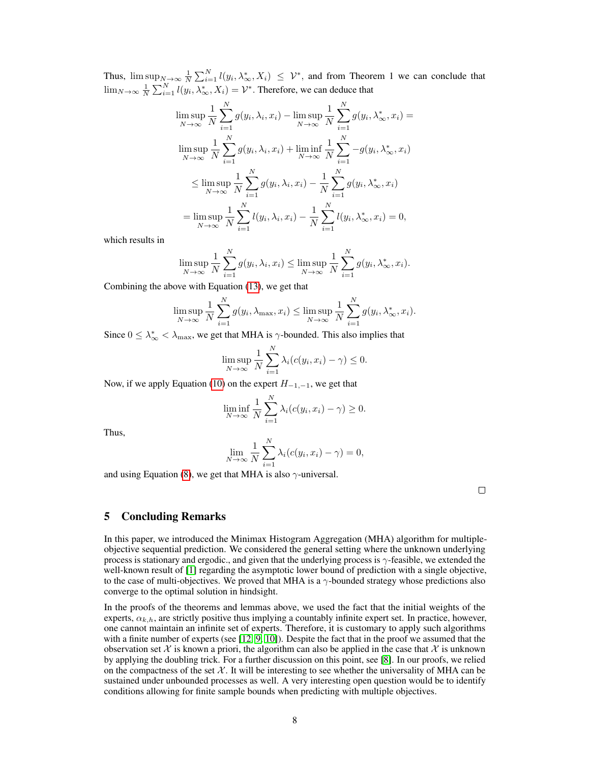Thus,  $\limsup_{N \to \infty} \frac{1}{N} \sum_{i=1}^{N} l(y_i, \lambda_{\infty}^*, X_i) \leq \mathcal{V}^*$ , and from Theorem 1 we can conclude that  $\lim_{N\to\infty}\frac{1}{N}\sum_{i=1}^{N}l(y_i,\lambda_\infty^*,X_i)=\mathcal{V}^*$ . Therefore, we can deduce that

$$
\limsup_{N \to \infty} \frac{1}{N} \sum_{i=1}^{N} g(y_i, \lambda_i, x_i) - \limsup_{N \to \infty} \frac{1}{N} \sum_{i=1}^{N} g(y_i, \lambda_{\infty}^*, x_i) =
$$
\n
$$
\limsup_{N \to \infty} \frac{1}{N} \sum_{i=1}^{N} g(y_i, \lambda_i, x_i) + \liminf_{N \to \infty} \frac{1}{N} \sum_{i=1}^{N} -g(y_i, \lambda_{\infty}^*, x_i)
$$
\n
$$
\leq \limsup_{N \to \infty} \frac{1}{N} \sum_{i=1}^{N} g(y_i, \lambda_i, x_i) - \frac{1}{N} \sum_{i=1}^{N} g(y_i, \lambda_{\infty}^*, x_i)
$$
\n
$$
= \limsup_{N \to \infty} \frac{1}{N} \sum_{i=1}^{N} l(y_i, \lambda_i, x_i) - \frac{1}{N} \sum_{i=1}^{N} l(y_i, \lambda_{\infty}^*, x_i) = 0,
$$

which results in

$$
\limsup_{N \to \infty} \frac{1}{N} \sum_{i=1}^{N} g(y_i, \lambda_i, x_i) \le \limsup_{N \to \infty} \frac{1}{N} \sum_{i=1}^{N} g(y_i, \lambda^*_{\infty}, x_i).
$$

Combining the above with Equation (13), we get that

$$
\limsup_{N \to \infty} \frac{1}{N} \sum_{i=1}^{N} g(y_i, \lambda_{\max}, x_i) \le \limsup_{N \to \infty} \frac{1}{N} \sum_{i=1}^{N} g(y_i, \lambda_{\infty}^*, x_i).
$$

Since  $0 \leq \lambda_{\infty}^* < \lambda_{\max}$ , we get that MHA is  $\gamma$ -bounded. This also implies that

$$
\limsup_{N \to \infty} \frac{1}{N} \sum_{i=1}^{N} \lambda_i (c(y_i, x_i) - \gamma) \le 0.
$$

Now, if we apply Equation (10) on the expert  $H_{-1,-1}$ , we get that

$$
\liminf_{N \to \infty} \frac{1}{N} \sum_{i=1}^{N} \lambda_i (c(y_i, x_i) - \gamma) \ge 0.
$$

Thus,

$$
\lim_{N \to \infty} \frac{1}{N} \sum_{i=1}^{N} \lambda_i (c(y_i, x_i) - \gamma) = 0,
$$

and using Equation (8), we get that MHA is also  $\gamma$ -universal.

 $\Box$ 

# 5 Concluding Remarks

In this paper, we introduced the Minimax Histogram Aggregation (MHA) algorithm for multipleobjective sequential prediction. We considered the general setting where the unknown underlying process is stationary and ergodic., and given that the underlying process is  $\gamma$ -feasible, we extended the well-known result of [1] regarding the asymptotic lower bound of prediction with a single objective, to the case of multi-objectives. We proved that MHA is a  $\gamma$ -bounded strategy whose predictions also converge to the optimal solution in hindsight.

In the proofs of the theorems and lemmas above, we used the fact that the initial weights of the experts,  $\alpha_{k,h}$ , are strictly positive thus implying a countably infinite expert set. In practice, however, one cannot maintain an infinite set of experts. Therefore, it is customary to apply such algorithms with a finite number of experts (see [12, 9, 10]). Despite the fact that in the proof we assumed that the observation set X is known a priori, the algorithm can also be applied in the case that X is unknown by applying the doubling trick. For a further discussion on this point, see [8]. In our proofs, we relied on the compactness of the set  $X$ . It will be interesting to see whether the universality of MHA can be sustained under unbounded processes as well. A very interesting open question would be to identify conditions allowing for finite sample bounds when predicting with multiple objectives.